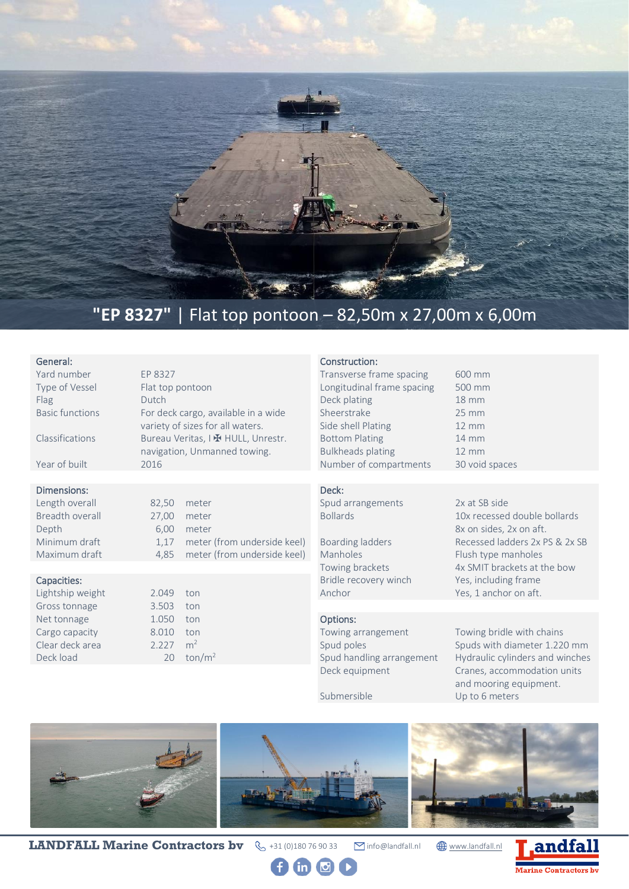

## **"EP 8327"** | Flat top pontoon – 82,50m x 27,00m x 6,00m

| General:<br>Yard number<br>Type of Vessel<br>Flag<br><b>Basic functions</b><br>Classifications<br>Year of built                | EP 8327<br>Flat top pontoon<br>Dutch<br>2016                                                                                                                                                                                             | For deck cargo, available in a wide<br>variety of sizes for all waters.<br>Bureau Veritas, I H HULL, Unrestr.<br>navigation, Unmanned towing. | Construction:<br>Transverse frame spacing<br>Longitudinal frame spacing<br>Deck plating<br>Sheerstrake<br>Side shell Plating<br><b>Bottom Plating</b><br><b>Bulkheads plating</b><br>Number of compartments       | 600 mm<br>500 mm<br>$18 \text{ mm}$<br>$25 \text{ mm}$<br>$12 \, \text{mm}$<br>$14 \, \text{mm}$<br>$12 \, \text{mm}$<br>30 void spaces               |
|--------------------------------------------------------------------------------------------------------------------------------|------------------------------------------------------------------------------------------------------------------------------------------------------------------------------------------------------------------------------------------|-----------------------------------------------------------------------------------------------------------------------------------------------|-------------------------------------------------------------------------------------------------------------------------------------------------------------------------------------------------------------------|-------------------------------------------------------------------------------------------------------------------------------------------------------|
|                                                                                                                                |                                                                                                                                                                                                                                          |                                                                                                                                               |                                                                                                                                                                                                                   |                                                                                                                                                       |
| Dimensions:<br>Length overall<br>Breadth overall<br>Depth<br>Minimum draft<br>Maximum draft<br>Capacities:<br>Lightship weight | Deck:<br>82,50<br>meter<br><b>Bollards</b><br>27,00<br>meter<br>6,00<br>meter<br>meter (from underside keel)<br>Boarding ladders<br>1,17<br>meter (from underside keel)<br>Manholes<br>4,85<br>Towing brackets<br>Anchor<br>2.049<br>ton | Spud arrangements<br>Bridle recovery winch                                                                                                    | 2x at SB side<br>10x recessed double bollards<br>8x on sides, 2x on aft.<br>Recessed ladders 2x PS & 2x SB<br>Flush type manholes<br>4x SMIT brackets at the bow<br>Yes, including frame<br>Yes, 1 anchor on aft. |                                                                                                                                                       |
| Gross tonnage                                                                                                                  | 3.503                                                                                                                                                                                                                                    | ton                                                                                                                                           |                                                                                                                                                                                                                   |                                                                                                                                                       |
| Net tonnage<br>Cargo capacity<br>Clear deck area<br>Deck load                                                                  | 1.050<br>8.010<br>2.227<br>20                                                                                                                                                                                                            | ton<br>ton<br>m <sup>2</sup><br>$\text{ton/m}^2$                                                                                              | Options:<br>Towing arrangement<br>Spud poles<br>Spud handling arrangement<br>Deck equipment                                                                                                                       | Towing bridle with chains<br>Spuds with diameter 1.220 mm<br>Hydraulic cylinders and winches<br>Cranes, accommodation units<br>and mooring equipment. |

Submersible Up to 6 meters



**LANDFALL Marine Contractors bv**  $\leftarrow$  +31 (0)180 76 90 33 **info@landfall.nl**  $\bigoplus_{www.landfall.nl}$  $\bigoplus_{www.landfall.nl}$  $\bigoplus_{www.landfall.nl}$ 

 $0 0 0 0$